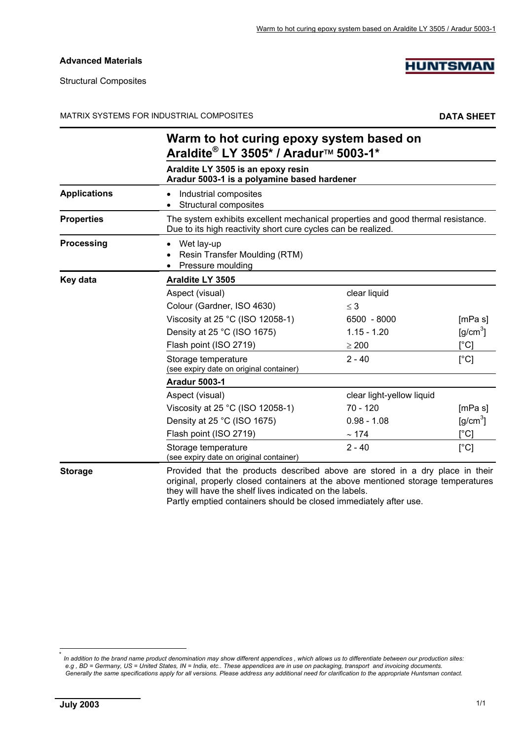#### **Advanced Materials**

Structural Composites

# **HUNTSMAN**

MATRIX SYSTEMS FOR INDUSTRIAL COMPOSITES **DATA SHEET**

|                     | Warm to hot curing epoxy system based on<br>Araldite® LY 3505* / Aradur™ 5003-1*                                                                                                                                             |                           |                               |
|---------------------|------------------------------------------------------------------------------------------------------------------------------------------------------------------------------------------------------------------------------|---------------------------|-------------------------------|
|                     | Araldite LY 3505 is an epoxy resin<br>Aradur 5003-1 is a polyamine based hardener                                                                                                                                            |                           |                               |
| <b>Applications</b> | Industrial composites<br>Structural composites                                                                                                                                                                               |                           |                               |
| <b>Properties</b>   | The system exhibits excellent mechanical properties and good thermal resistance.<br>Due to its high reactivity short cure cycles can be realized.                                                                            |                           |                               |
| <b>Processing</b>   | Wet lay-up<br>Resin Transfer Moulding (RTM)<br>Pressure moulding                                                                                                                                                             |                           |                               |
| Key data            | Araldite LY 3505                                                                                                                                                                                                             |                           |                               |
|                     | Aspect (visual)                                                                                                                                                                                                              | clear liquid              |                               |
|                     | Colour (Gardner, ISO 4630)                                                                                                                                                                                                   | $\leq$ 3                  |                               |
|                     | Viscosity at 25 °C (ISO 12058-1)                                                                                                                                                                                             | 6500 - 8000               | [mPa s]                       |
|                     | Density at 25 °C (ISO 1675)                                                                                                                                                                                                  | $1.15 - 1.20$             | $\left[\frac{q}{cm^3}\right]$ |
|                     | Flash point (ISO 2719)                                                                                                                                                                                                       | $\geq 200$                | $\lceil{^{\circ}C}\rceil$     |
|                     | Storage temperature<br>(see expiry date on original container)                                                                                                                                                               | $2 - 40$                  | [°C]                          |
|                     | <b>Aradur 5003-1</b>                                                                                                                                                                                                         |                           |                               |
|                     | Aspect (visual)                                                                                                                                                                                                              | clear light-yellow liquid |                               |
|                     | Viscosity at 25 °C (ISO 12058-1)                                                                                                                                                                                             | $70 - 120$                | [mPa s]                       |
|                     | Density at 25 °C (ISO 1675)                                                                                                                                                                                                  | $0.98 - 1.08$             | $\text{g/cm}^3$               |
|                     | Flash point (ISO 2719)                                                                                                                                                                                                       | $\sim$ 174                | [°C]                          |
|                     | Storage temperature<br>(see expiry date on original container)                                                                                                                                                               | $2 - 40$                  | [°C]                          |
| <b>Storage</b>      | Provided that the products described above are stored in a dry place in their<br>original, properly closed containers at the above mentioned storage temperatures<br>they will have the shelf lives indicated on the labels. |                           |                               |

Partly emptied containers should be closed immediately after use.

l

<sup>\*</sup> *In addition to the brand name product denomination may show different appendices , which allows us to differentiate between our production sites: e.g , BD = Germany, US = United States, IN = India, etc.. These appendices are in use on packaging, transport and invoicing documents. Generally the same specifications apply for all versions. Please address any additional need for clarification to the appropriate Huntsman contact.*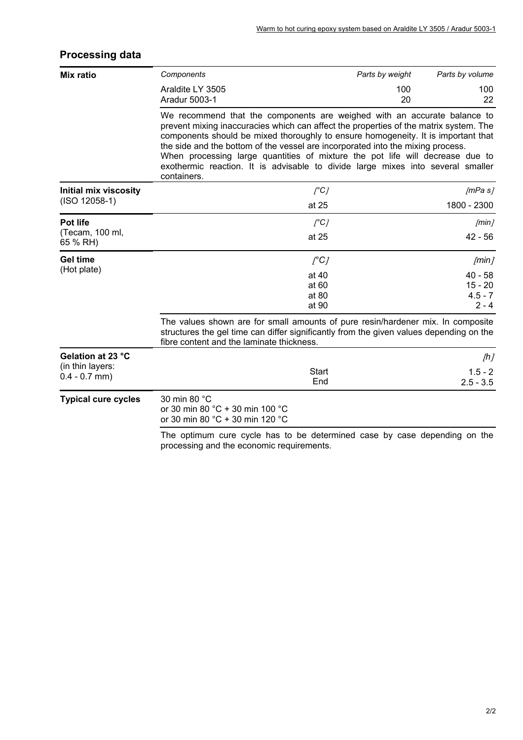# **Processing data**

| Mix ratio                           | Components                                                                                                                                                                                                                                                                                                                                                                                                                                                                                                                   | Parts by weight | Parts by volume          |
|-------------------------------------|------------------------------------------------------------------------------------------------------------------------------------------------------------------------------------------------------------------------------------------------------------------------------------------------------------------------------------------------------------------------------------------------------------------------------------------------------------------------------------------------------------------------------|-----------------|--------------------------|
|                                     | Araldite LY 3505<br>Aradur 5003-1                                                                                                                                                                                                                                                                                                                                                                                                                                                                                            | 100<br>20       | 100<br>22                |
|                                     | We recommend that the components are weighed with an accurate balance to<br>prevent mixing inaccuracies which can affect the properties of the matrix system. The<br>components should be mixed thoroughly to ensure homogeneity. It is important that<br>the side and the bottom of the vessel are incorporated into the mixing process.<br>When processing large quantities of mixture the pot life will decrease due to<br>exothermic reaction. It is advisable to divide large mixes into several smaller<br>containers. |                 |                          |
| <b>Initial mix viscosity</b>        | $\int^{\circ}$ C]                                                                                                                                                                                                                                                                                                                                                                                                                                                                                                            |                 | /mPa s/                  |
| $(ISO 12058-1)$                     | at 25                                                                                                                                                                                                                                                                                                                                                                                                                                                                                                                        |                 | 1800 - 2300              |
| Pot life                            | $\int^{\infty}$                                                                                                                                                                                                                                                                                                                                                                                                                                                                                                              |                 | /min/                    |
| (Tecam, 100 ml,<br>65 % RH)         | at 25                                                                                                                                                                                                                                                                                                                                                                                                                                                                                                                        |                 | $42 - 56$                |
| <b>Gel time</b>                     | $\int^{\circ}$ C]                                                                                                                                                                                                                                                                                                                                                                                                                                                                                                            |                 | /min/                    |
| (Hot plate)                         | at 40                                                                                                                                                                                                                                                                                                                                                                                                                                                                                                                        |                 | $40 - 58$                |
|                                     | at 60<br>at 80                                                                                                                                                                                                                                                                                                                                                                                                                                                                                                               |                 | $15 - 20$<br>$4.5 - 7$   |
|                                     | at 90                                                                                                                                                                                                                                                                                                                                                                                                                                                                                                                        |                 | $2 - 4$                  |
|                                     | The values shown are for small amounts of pure resin/hardener mix. In composite<br>structures the gel time can differ significantly from the given values depending on the<br>fibre content and the laminate thickness.                                                                                                                                                                                                                                                                                                      |                 |                          |
| Gelation at 23 °C                   |                                                                                                                                                                                                                                                                                                                                                                                                                                                                                                                              |                 | [h]                      |
| (in thin layers:<br>$0.4 - 0.7$ mm) | Start<br>End                                                                                                                                                                                                                                                                                                                                                                                                                                                                                                                 |                 | $1.5 - 2$<br>$2.5 - 3.5$ |
| <b>Typical cure cycles</b>          | 30 min 80 °C<br>or 30 min 80 °C + 30 min 100 °C<br>or 30 min 80 °C + 30 min 120 °C                                                                                                                                                                                                                                                                                                                                                                                                                                           |                 |                          |
|                                     | The optimum cure cycle has to be determined case by case depending on the<br>processing and the economic requirements.                                                                                                                                                                                                                                                                                                                                                                                                       |                 |                          |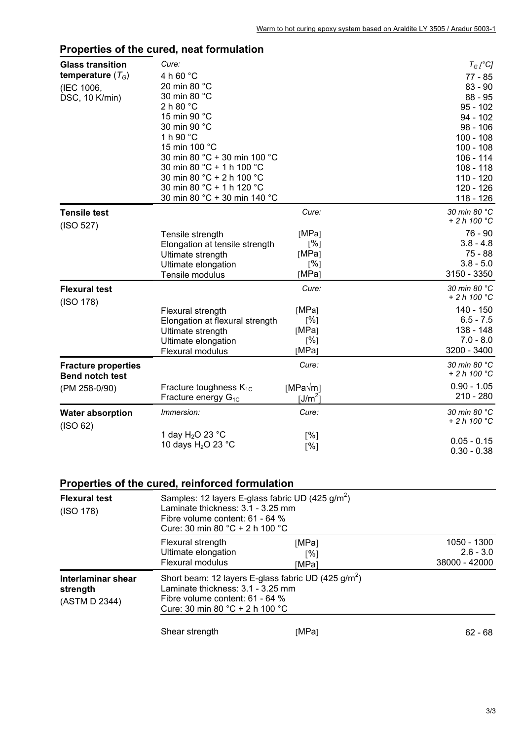| <b>Glass transition</b>    | Cure:                           |                 | $T_G$ [°C]             |
|----------------------------|---------------------------------|-----------------|------------------------|
| temperature $(T_G)$        | 4 h 60 °C                       |                 | $77 - 85$              |
| (IEC 1006,                 | 20 min 80 °C                    |                 | $83 - 90$              |
| DSC, 10 K/min)             | 30 min 80 °C                    |                 | $88 - 95$              |
|                            | 2 h 80 °C                       |                 | $95 - 102$             |
|                            | 15 min 90 °C                    |                 | $94 - 102$             |
|                            | 30 min 90 °C                    |                 | $98 - 106$             |
|                            | 1 h 90 °C                       |                 | $100 - 108$            |
|                            | 15 min 100 °C                   |                 | $100 - 108$            |
|                            | 30 min 80 °C + 30 min 100 °C    |                 | $106 - 114$            |
|                            | 30 min 80 °C + 1 h 100 °C       |                 | $108 - 118$            |
|                            | 30 min 80 °C + 2 h 100 °C       |                 | $110 - 120$            |
|                            | 30 min 80 °C + 1 h 120 °C       |                 | $120 - 126$            |
|                            | 30 min 80 °C + 30 min 140 °C    |                 | 118 - 126              |
| <b>Tensile test</b>        |                                 | Cure:           | 30 min 80 °C           |
| (ISO 527)                  |                                 |                 | + 2 h 100 °C           |
|                            | Tensile strength                | [MPa]           | 76 - 90                |
|                            | Elongation at tensile strength  | [%]             | $3.8 - 4.8$            |
|                            | Ultimate strength               | [MPa]           | 75 - 88                |
|                            | Ultimate elongation             | [%]             | $3.8 - 5.0$            |
|                            | Tensile modulus                 | [MPa]           | 3150 - 3350            |
| <b>Flexural test</b>       |                                 | Cure:           | 30 min 80 °C           |
| (ISO 178)                  |                                 |                 | $+ 2h100 °C$           |
|                            | Flexural strength               | [MPa]           | 140 - 150              |
|                            | Elongation at flexural strength | [%]             | $6.5 - 7.5$            |
|                            | Ultimate strength               | [MPa]           | 138 - 148              |
|                            | Ultimate elongation             | [%]             | $7.0 - 8.0$            |
|                            | Flexural modulus                | [MPa]           | 3200 - 3400            |
| <b>Fracture properties</b> |                                 | Cure:           | 30 min 80 °C           |
| <b>Bend notch test</b>     |                                 |                 | $+ 2h100 °C$           |
| (PM 258-0/90)              | Fracture toughness $K_{1C}$     | $[MPa\sqrt{m}]$ | $0.90 - 1.05$          |
|                            | Fracture energy G <sub>1C</sub> | $[J/m^2]$       | $210 - 280$            |
| <b>Water absorption</b>    | Immersion:                      | Cure:           | 30 min 80 °C           |
| (ISO 62)                   |                                 |                 | + 2 h 100 $^{\circ}$ C |
|                            | 1 day $H_2O$ 23 °C              | [%]             |                        |
|                            | 10 days $H_2O$ 23 °C            | [%]             | $0.05 - 0.15$          |
|                            |                                 |                 | $0.30 - 0.38$          |
|                            |                                 |                 |                        |

#### **Properties of the cured, neat formulation**

# **Properties of the cured, reinforced formulation**

| <b>Flexural test</b><br>(ISO 178)                                                                                                                                                                                    | Samples: 12 layers E-glass fabric UD (425 g/m <sup>2</sup> )<br>Laminate thickness: 3.1 - 3.25 mm<br>Fibre volume content: 61 - 64 %<br>Cure: 30 min 80 $^{\circ}$ C + 2 h 100 $^{\circ}$ C |                                      |                                             |
|----------------------------------------------------------------------------------------------------------------------------------------------------------------------------------------------------------------------|---------------------------------------------------------------------------------------------------------------------------------------------------------------------------------------------|--------------------------------------|---------------------------------------------|
|                                                                                                                                                                                                                      | Flexural strength<br>Ultimate elongation<br>Flexural modulus                                                                                                                                | [MPa]<br>$\lceil \% \rceil$<br>[MPa] | 1050 - 1300<br>$2.6 - 3.0$<br>38000 - 42000 |
| Short beam: 12 layers E-glass fabric UD (425 $q/m^2$ )<br>Interlaminar shear<br>Laminate thickness: 3.1 - 3.25 mm<br>strength<br>Fibre volume content: 61 - 64 %<br>(ASTM D 2344)<br>Cure: 30 min 80 °C + 2 h 100 °C |                                                                                                                                                                                             |                                      |                                             |
|                                                                                                                                                                                                                      | Shear strength                                                                                                                                                                              | [MPa]                                | $62 - 68$                                   |